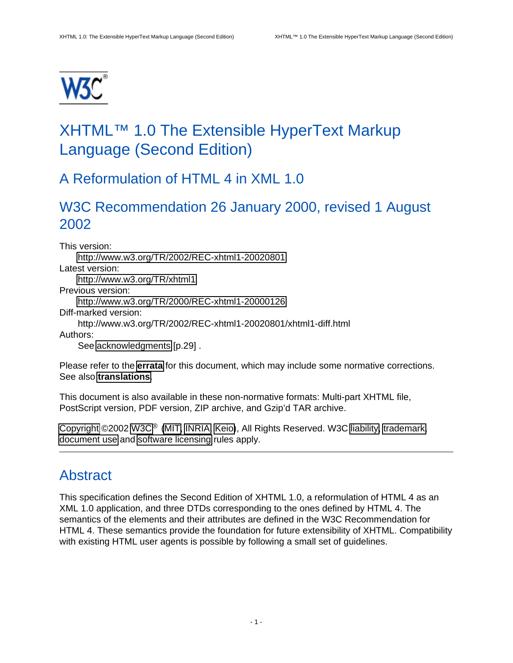

# XHTML™ 1.0 The Extensible HyperText Markup Language (Second Edition)

### A Reformulation of HTML 4 in XML 1.0

### W3C Recommendation 26 January 2000, revised 1 August 2002

<span id="page-0-0"></span>This version:

<http://www.w3.org/TR/2002/REC-xhtml1-20020801> Latest version: <http://www.w3.org/TR/xhtml1> Previous version: <http://www.w3.org/TR/2000/REC-xhtml1-20000126> Diff-marked version: http://www.w3.org/TR/2002/REC-xhtml1-20020801/xhtml1-diff.html Authors: See [acknowledgments](#page-28-0) [p.29] .

Please refer to the **[errata](http://www.w3.org/2002/08/REC-xhtml1-20020801-errata)** for this document, which may include some normative corrections. See also **[translations](http://www.w3.org/MarkUp/translations)**.

This document is also available in these non-normative formats: Multi-part XHTML file, PostScript version, PDF version, ZIP archive, and Gzip'd TAR archive.

[Copyright](http://www.w3.org/Consortium/Legal/ipr-notice-20000612#Copyright) ©2002 [W3C](http://www.w3.org/)® [\(MIT,](http://www.lcs.mit.edu/) [INRIA,](http://www.inria.fr/) [Keio\)](http://www.keio.ac.jp/), All Rights Reserved. W3C [liability,](http://www.w3.org/Consortium/Legal/ipr-notice-20000612#Legal_Disclaimer) [trademark,](http://www.w3.org/Consortium/Legal/ipr-notice-20000612#W3C_Trademarks) [document use](http://www.w3.org/Consortium/Legal/copyright-documents-19990405) and [software licensing](http://www.w3.org/Consortium/Legal/copyright-software-19980720) rules apply.

### Abstract

This specification defines the Second Edition of XHTML 1.0, a reformulation of HTML 4 as an XML 1.0 application, and three DTDs corresponding to the ones defined by HTML 4. The semantics of the elements and their attributes are defined in the W3C Recommendation for HTML 4. These semantics provide the foundation for future extensibility of XHTML. Compatibility with existing HTML user agents is possible by following a small set of guidelines.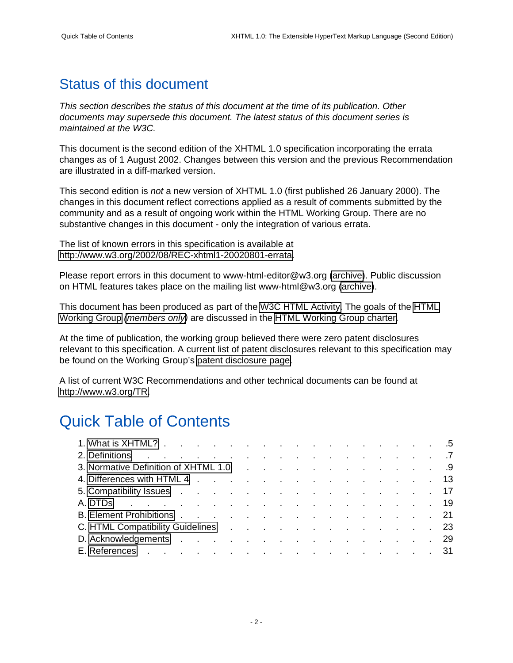# Status of this document

This section describes the status of this document at the time of its publication. Other documents may supersede this document. The latest status of this document series is maintained at the W3C.

This document is the second edition of the XHTML 1.0 specification incorporating the errata changes as of 1 August 2002. Changes between this version and the previous Recommendation are illustrated in a diff-marked version.

This second edition is not a new version of XHTML 1.0 (first published 26 January 2000). The changes in this document reflect corrections applied as a result of comments submitted by the community and as a result of ongoing work within the HTML Working Group. There are no substantive changes in this document - only the integration of various errata.

The list of known errors in this specification is available at [http://www.w3.org/2002/08/REC-xhtml1-20020801-errata.](http://www.w3.org/2002/08/REC-xhtml1-20020801-errata)

Please report errors in this document to www-html-editor@w3.org [\(archive\)](http://lists.w3.org/Archives/Public/www-html-editor/). Public discussion on HTML features takes place on the mailing list www-html@w3.org [\(archive\)](http://lists.w3.org/Archives/Public/www-html/).

This document has been produced as part of the [W3C HTML Activity.](http://www.w3.org/MarkUp/Activity) The goals of the [HTML](http://www.w3.org/MarkUp/Group/) [Working Group](http://www.w3.org/MarkUp/Group/) [\(members only\)](http://cgi.w3.org/MemberAccess/) are discussed in the [HTML Working Group charter.](http://www.w3.org/MarkUp/2000/Charter)

At the time of publication, the working group believed there were zero patent disclosures relevant to this specification. A current list of patent disclosures relevant to this specification may be found on the Working Group's [patent disclosure page.](http://www.w3.org/2002/07/HTML-IPR)

A list of current W3C Recommendations and other technical documents can be found at [http://www.w3.org/TR.](http://www.w3.org/TR)

# Quick Table of Contents

| 2. Definitions and a contract of the contract of the contract of the contract of the contract of the contract of the contract of the contract of the contract of the contract of the contract of the contract of the contract |  |  |  |  |  |  |  |  |  |
|-------------------------------------------------------------------------------------------------------------------------------------------------------------------------------------------------------------------------------|--|--|--|--|--|--|--|--|--|
| 3. Normative Definition of XHTML 1.0 \cdot is a set of the control of XHTML 1.0 \cdot is a set of the control of the control of $9$                                                                                           |  |  |  |  |  |  |  |  |  |
|                                                                                                                                                                                                                               |  |  |  |  |  |  |  |  |  |
|                                                                                                                                                                                                                               |  |  |  |  |  |  |  |  |  |
|                                                                                                                                                                                                                               |  |  |  |  |  |  |  |  |  |
|                                                                                                                                                                                                                               |  |  |  |  |  |  |  |  |  |
| C. HTML Compatibility Guidelines 23                                                                                                                                                                                           |  |  |  |  |  |  |  |  |  |
| D. Acknowledgements 29                                                                                                                                                                                                        |  |  |  |  |  |  |  |  |  |
|                                                                                                                                                                                                                               |  |  |  |  |  |  |  |  |  |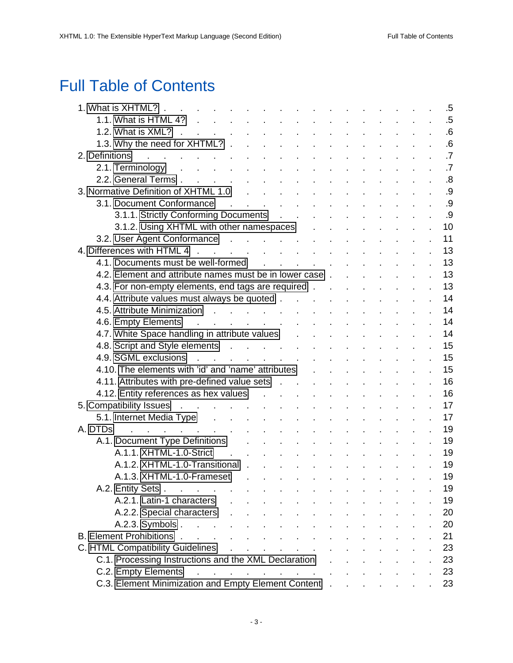# Full Table of Contents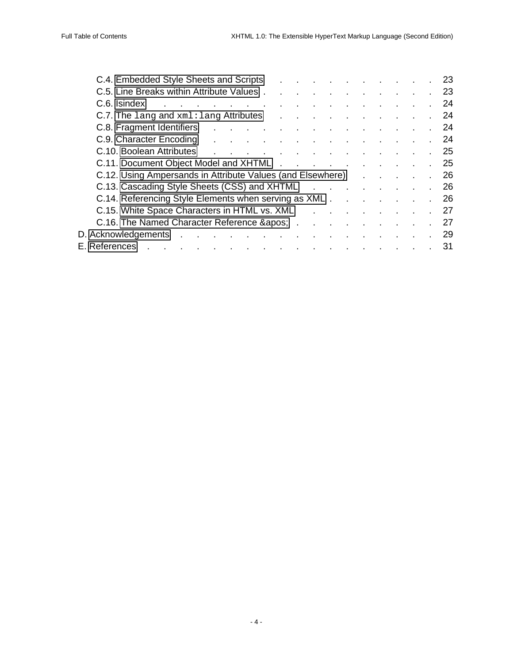| C.4. Embedded Style Sheets and Scripts                                                                                                                                                                                         |                                                                                 |  |  |                                                                 | the contract of the contract of the contract of |  |  |  | 23 |
|--------------------------------------------------------------------------------------------------------------------------------------------------------------------------------------------------------------------------------|---------------------------------------------------------------------------------|--|--|-----------------------------------------------------------------|-------------------------------------------------|--|--|--|----|
|                                                                                                                                                                                                                                |                                                                                 |  |  |                                                                 |                                                 |  |  |  | 23 |
| C.6. Isindex                                                                                                                                                                                                                   |                                                                                 |  |  | the contract of the contract of the contract of the contract of |                                                 |  |  |  | 24 |
| C.7. The lang and xml: lang Attributes                                                                                                                                                                                         |                                                                                 |  |  |                                                                 |                                                 |  |  |  | 24 |
| C.8. Fragment Identifiers and the contract of the contract of the contract of the contract of the contract of the contract of the contract of the contract of the contract of the contract of the contract of the contract of  |                                                                                 |  |  |                                                                 |                                                 |  |  |  | 24 |
|                                                                                                                                                                                                                                |                                                                                 |  |  |                                                                 |                                                 |  |  |  | 24 |
| C.10. Boolean Attributes and the contract of the contract of the contract of the contract of the contract of the contract of the contract of the contract of the contract of the contract of the contract of the contract of t |                                                                                 |  |  |                                                                 |                                                 |  |  |  | 25 |
|                                                                                                                                                                                                                                |                                                                                 |  |  |                                                                 |                                                 |  |  |  | 25 |
| C.12. Using Ampersands in Attribute Values (and Elsewhere)                                                                                                                                                                     |                                                                                 |  |  |                                                                 |                                                 |  |  |  | 26 |
|                                                                                                                                                                                                                                |                                                                                 |  |  |                                                                 |                                                 |  |  |  | 26 |
|                                                                                                                                                                                                                                |                                                                                 |  |  |                                                                 |                                                 |  |  |  | 26 |
|                                                                                                                                                                                                                                |                                                                                 |  |  |                                                                 |                                                 |  |  |  | 27 |
| C.16. The Named Character Reference ' entering the state of the Named Character Reference '                                                                                                                                    |                                                                                 |  |  |                                                                 |                                                 |  |  |  | 27 |
|                                                                                                                                                                                                                                |                                                                                 |  |  |                                                                 |                                                 |  |  |  | 29 |
| E. References.                                                                                                                                                                                                                 | the contract of the contract of the contract of the contract of the contract of |  |  |                                                                 |                                                 |  |  |  | 31 |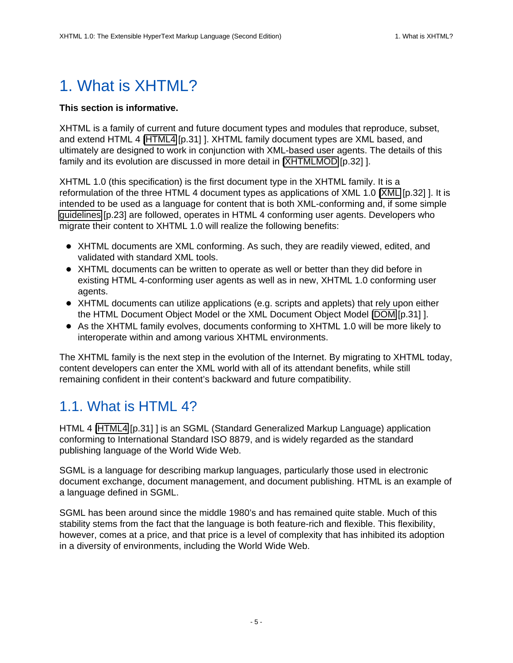# <span id="page-4-0"></span>1. What is XHTML?

### **This section is informative.**

XHTML is a family of current and future document types and modules that reproduce, subset, and extend HTML 4 [\[HTML4](#page-30-1) [p.31] ]. XHTML family document types are XML based, and ultimately are designed to work in conjunction with XML-based user agents. The details of this family and its evolution are discussed in more detail in [\[XHTMLMOD](#page-31-0) [p.32] ].

XHTML 1.0 (this specification) is the first document type in the XHTML family. It is a reformulation of the three HTML 4 document types as applications of XML 1.0 [\[XML](#page-31-1) [p.32] ]. It is intended to be used as a language for content that is both XML-conforming and, if some simple [guidelines](#page-22-0) [p.23] are followed, operates in HTML 4 conforming user agents. Developers who migrate their content to XHTML 1.0 will realize the following benefits:

- XHTML documents are XML conforming. As such, they are readily viewed, edited, and validated with standard XML tools.
- XHTML documents can be written to operate as well or better than they did before in existing HTML 4-conforming user agents as well as in new, XHTML 1.0 conforming user agents.
- XHTML documents can utilize applications (e.g. scripts and applets) that rely upon either the HTML Document Object Model or the XML Document Object Model [\[DOM](#page-30-2) [p.31] ].
- As the XHTML family evolves, documents conforming to XHTML 1.0 will be more likely to interoperate within and among various XHTML environments.

The XHTML family is the next step in the evolution of the Internet. By migrating to XHTML today, content developers can enter the XML world with all of its attendant benefits, while still remaining confident in their content's backward and future compatibility.

## <span id="page-4-1"></span>1.1. What is HTML 4?

HTML 4 [\[HTML4](#page-30-1) [p.31] ] is an SGML (Standard Generalized Markup Language) application conforming to International Standard ISO 8879, and is widely regarded as the standard publishing language of the World Wide Web.

SGML is a language for describing markup languages, particularly those used in electronic document exchange, document management, and document publishing. HTML is an example of a language defined in SGML.

SGML has been around since the middle 1980's and has remained quite stable. Much of this stability stems from the fact that the language is both feature-rich and flexible. This flexibility, however, comes at a price, and that price is a level of complexity that has inhibited its adoption in a diversity of environments, including the World Wide Web.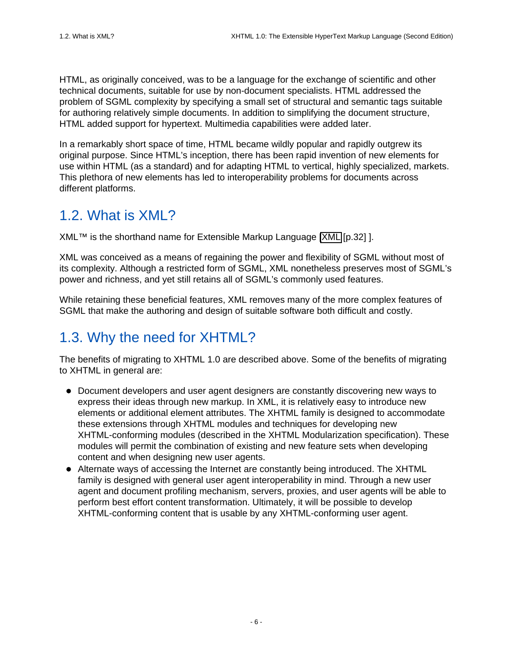HTML, as originally conceived, was to be a language for the exchange of scientific and other technical documents, suitable for use by non-document specialists. HTML addressed the problem of SGML complexity by specifying a small set of structural and semantic tags suitable for authoring relatively simple documents. In addition to simplifying the document structure, HTML added support for hypertext. Multimedia capabilities were added later.

In a remarkably short space of time, HTML became wildly popular and rapidly outgrew its original purpose. Since HTML's inception, there has been rapid invention of new elements for use within HTML (as a standard) and for adapting HTML to vertical, highly specialized, markets. This plethora of new elements has led to interoperability problems for documents across different platforms.

## <span id="page-5-0"></span>1.2. What is XML?

XML™ is the shorthand name for Extensible Markup Language [\[XML](#page-31-1) [p.32] ].

XML was conceived as a means of regaining the power and flexibility of SGML without most of its complexity. Although a restricted form of SGML, XML nonetheless preserves most of SGML's power and richness, and yet still retains all of SGML's commonly used features.

While retaining these beneficial features, XML removes many of the more complex features of SGML that make the authoring and design of suitable software both difficult and costly.

## <span id="page-5-1"></span>1.3. Why the need for XHTML?

The benefits of migrating to XHTML 1.0 are described above. Some of the benefits of migrating to XHTML in general are:

- Document developers and user agent designers are constantly discovering new ways to express their ideas through new markup. In XML, it is relatively easy to introduce new elements or additional element attributes. The XHTML family is designed to accommodate these extensions through XHTML modules and techniques for developing new XHTML-conforming modules (described in the XHTML Modularization specification). These modules will permit the combination of existing and new feature sets when developing content and when designing new user agents.
- Alternate ways of accessing the Internet are constantly being introduced. The XHTML family is designed with general user agent interoperability in mind. Through a new user agent and document profiling mechanism, servers, proxies, and user agents will be able to perform best effort content transformation. Ultimately, it will be possible to develop XHTML-conforming content that is usable by any XHTML-conforming user agent.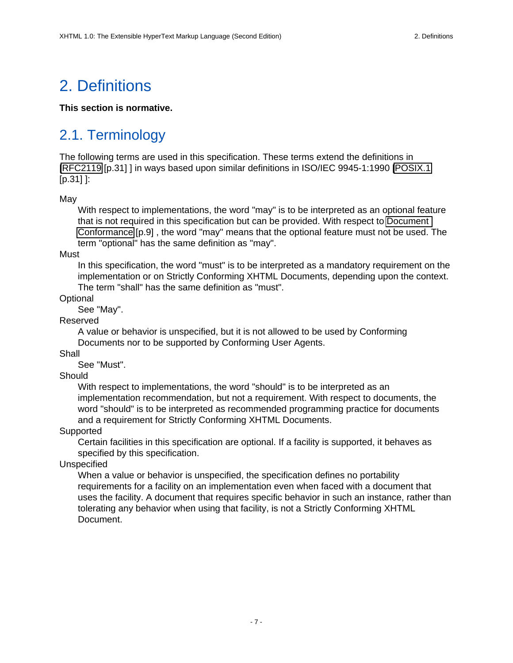# <span id="page-6-0"></span>2. Definitions

### **This section is normative.**

## <span id="page-6-1"></span>2.1. Terminology

The following terms are used in this specification. These terms extend the definitions in [\[RFC2119](#page-30-3) [p.31] ] in ways based upon similar definitions in ISO/IEC 9945-1:1990 [\[POSIX.1](#page-30-4) [p.31] ]:

### May

With respect to implementations, the word "may" is to be interpreted as an optional feature that is not required in this specification but can be provided. With respect to [Document](#page-8-1)  [Conformance](#page-8-1) [p.9] , the word "may" means that the optional feature must not be used. The term "optional" has the same definition as "may".

**Must** 

In this specification, the word "must" is to be interpreted as a mandatory requirement on the implementation or on Strictly Conforming XHTML Documents, depending upon the context. The term "shall" has the same definition as "must".

**Optional** 

See "May".

Reserved

A value or behavior is unspecified, but it is not allowed to be used by Conforming Documents nor to be supported by Conforming User Agents.

**Shall** 

See "Must".

**Should** 

With respect to implementations, the word "should" is to be interpreted as an implementation recommendation, but not a requirement. With respect to documents, the word "should" is to be interpreted as recommended programming practice for documents and a requirement for Strictly Conforming XHTML Documents.

#### **Supported**

Certain facilities in this specification are optional. If a facility is supported, it behaves as specified by this specification.

**Unspecified** 

When a value or behavior is unspecified, the specification defines no portability requirements for a facility on an implementation even when faced with a document that uses the facility. A document that requires specific behavior in such an instance, rather than tolerating any behavior when using that facility, is not a Strictly Conforming XHTML Document.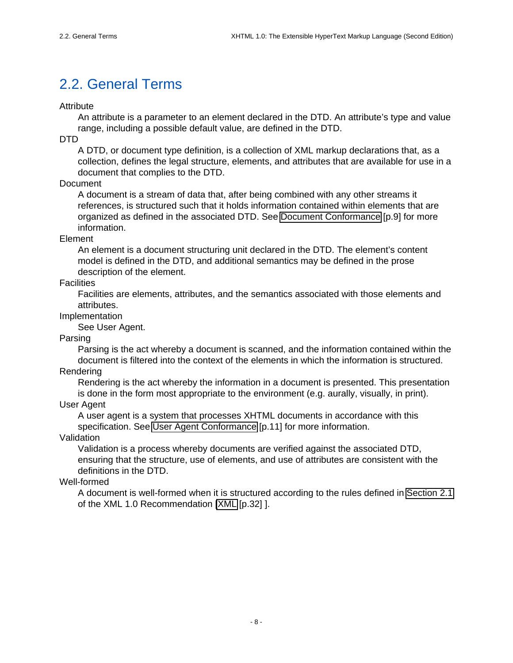## <span id="page-7-0"></span>2.2. General Terms

#### **Attribute**

An attribute is a parameter to an element declared in the DTD. An attribute's type and value range, including a possible default value, are defined in the DTD.

DTD

A DTD, or document type definition, is a collection of XML markup declarations that, as a collection, defines the legal structure, elements, and attributes that are available for use in a document that complies to the DTD.

### **Document**

A document is a stream of data that, after being combined with any other streams it references, is structured such that it holds information contained within elements that are organized as defined in the associated DTD. See [Document Conformance](#page-8-1) [p.9] for more information.

### Element

An element is a document structuring unit declared in the DTD. The element's content model is defined in the DTD, and additional semantics may be defined in the prose description of the element.

### <span id="page-7-1"></span>Facilities

Facilities are elements, attributes, and the semantics associated with those elements and attributes.

#### Implementation

See User Agent.

#### Parsing

Parsing is the act whereby a document is scanned, and the information contained within the document is filtered into the context of the elements in which the information is structured.

### Rendering

Rendering is the act whereby the information in a document is presented. This presentation is done in the form most appropriate to the environment (e.g. aurally, visually, in print).

#### User Agent

A user agent is a system that processes XHTML documents in accordance with this specification. See [User Agent Conformance](#page-10-0) [p.11] for more information.

### Validation

Validation is a process whereby documents are verified against the associated DTD, ensuring that the structure, use of elements, and use of attributes are consistent with the definitions in the DTD.

### <span id="page-7-2"></span>Well-formed

A document is well-formed when it is structured according to the rules defined in [Section 2.1](http://www.w3.org/TR/REC-xml#sec-well-formed) of the XML 1.0 Recommendation [\[XML](#page-31-1) [p.32] ].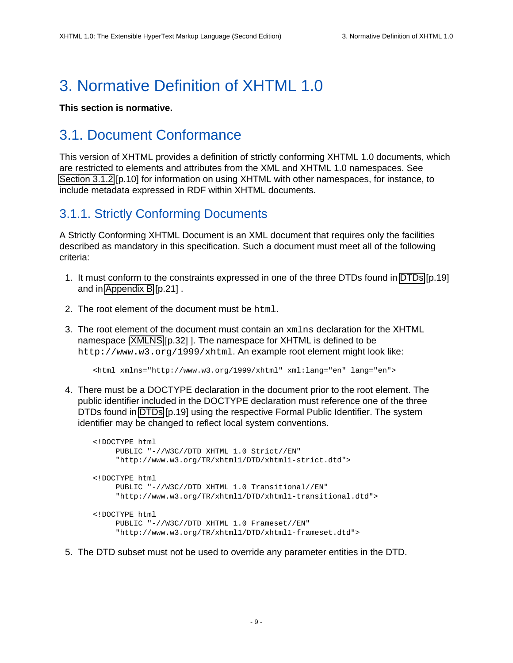# <span id="page-8-0"></span>3. Normative Definition of XHTML 1.0

### **This section is normative.**

## <span id="page-8-1"></span>3.1. Document Conformance

This version of XHTML provides a definition of strictly conforming XHTML 1.0 documents, which are restricted to elements and attributes from the XML and XHTML 1.0 namespaces. See [Section 3.1.2](#page-9-0) [p.10] for information on using XHTML with other namespaces, for instance, to include metadata expressed in RDF within XHTML documents.

### <span id="page-8-2"></span>3.1.1. Strictly Conforming Documents

A Strictly Conforming XHTML Document is an XML document that requires only the facilities described as mandatory in this specification. Such a document must meet all of the following criteria:

- 1. It must conform to the constraints expressed in one of the three DTDs found in [DTDs](#page-18-0) [p.19] and in [Appendix B](#page-20-0) [p.21] .
- 2. The root element of the document must be html.
- 3. The root element of the document must contain an xmlns declaration for the XHTML namespace [\[XMLNS](#page-31-2) [p.32] ]. The namespace for XHTML is defined to be http://www.w3.org/1999/xhtml. An example root element might look like:

```
<html xmlns="http://www.w3.org/1999/xhtml" xml:lang="en" lang="en">
```
4. There must be a DOCTYPE declaration in the document prior to the root element. The public identifier included in the DOCTYPE declaration must reference one of the three DTDs found in [DTDs](#page-18-0) [p.19] using the respective Formal Public Identifier. The system identifier may be changed to reflect local system conventions.

```
<!DOCTYPE html 
      PUBLIC "-//W3C//DTD XHTML 1.0 Strict//EN"
      "http://www.w3.org/TR/xhtml1/DTD/xhtml1-strict.dtd">
<!DOCTYPE html 
     PUBLIC "-//W3C//DTD XHTML 1.0 Transitional//EN"
      "http://www.w3.org/TR/xhtml1/DTD/xhtml1-transitional.dtd">
<!DOCTYPE html 
      PUBLIC "-//W3C//DTD XHTML 1.0 Frameset//EN"
      "http://www.w3.org/TR/xhtml1/DTD/xhtml1-frameset.dtd">
```
5. The DTD subset must not be used to override any parameter entities in the DTD.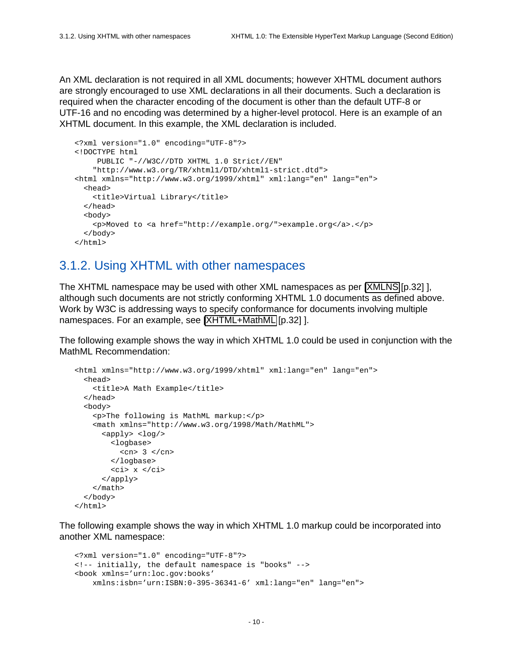An XML declaration is not required in all XML documents; however XHTML document authors are strongly encouraged to use XML declarations in all their documents. Such a declaration is required when the character encoding of the document is other than the default UTF-8 or UTF-16 and no encoding was determined by a higher-level protocol. Here is an example of an XHTML document. In this example, the XML declaration is included.

```
<?xml version="1.0" encoding="UTF-8"?>
<!DOCTYPE html 
     PUBLIC "-//W3C//DTD XHTML 1.0 Strict//EN"
     "http://www.w3.org/TR/xhtml1/DTD/xhtml1-strict.dtd">
<html xmlns="http://www.w3.org/1999/xhtml" xml:lang="en" lang="en">
  <head>
    <title>Virtual Library</title>
  </head>
  <body>
    <p>Moved to <a href="http://example.org/">example.org</a>.</p>
  </body>
</html>
```
### <span id="page-9-0"></span>3.1.2. Using XHTML with other namespaces

The XHTML namespace may be used with other XML namespaces as per [\[XMLNS](#page-31-2) [p.32] ], although such documents are not strictly conforming XHTML 1.0 documents as defined above. Work by W3C is addressing ways to specify conformance for documents involving multiple namespaces. For an example, see [\[XHTML+MathML](#page-31-3) [p.32] ].

The following example shows the way in which XHTML 1.0 could be used in conjunction with the MathML Recommendation:

```
<html xmlns="http://www.w3.org/1999/xhtml" xml:lang="en" lang="en">
   <head>
     <title>A Math Example</title>
   </head>
   <body>
     <p>The following is MathML markup:</p>
     <math xmlns="http://www.w3.org/1998/Math/MathML">
       <apply> <log/>
         <logbase>
          <cn> 3 </cn>
         </logbase>
         <ci> x </ci>
       </apply>
    \langle/math>
   </body>
</html>
```
The following example shows the way in which XHTML 1.0 markup could be incorporated into another XML namespace:

```
<?xml version="1.0" encoding="UTF-8"?>
<!-- initially, the default namespace is "books" -->
<book xmlns='urn:loc.gov:books'
    xmlns:isbn='urn:ISBN:0-395-36341-6' xml:lang="en" lang="en">
```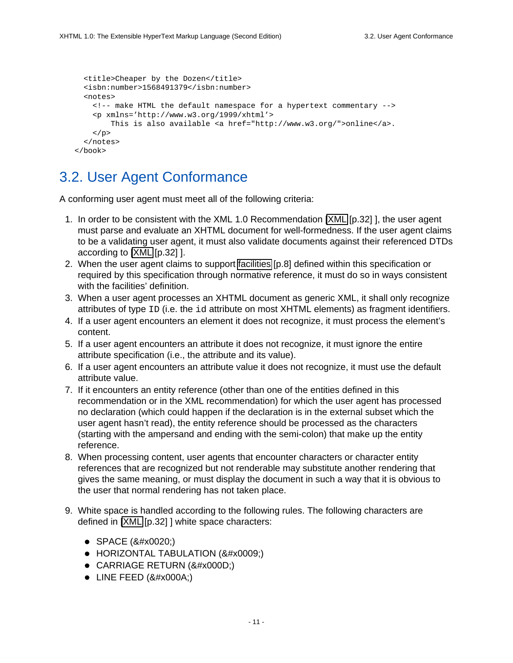```
<title>Cheaper by the Dozen</title>
  <isbn:number>1568491379</isbn:number>
   <notes>
     <!-- make HTML the default namespace for a hypertext commentary -->
     <p xmlns='http://www.w3.org/1999/xhtml'>
         This is also available <a href="http://www.w3.org/">online</a>.
    \langle/p>
  </notes>
</book>
```
## <span id="page-10-0"></span>3.2. User Agent Conformance

A conforming user agent must meet all of the following criteria:

- 1. In order to be consistent with the XML 1.0 Recommendation [\[XML](#page-31-1) [p.32] ], the user agent must parse and evaluate an XHTML document for well-formedness. If the user agent claims to be a validating user agent, it must also validate documents against their referenced DTDs according to [\[XML](#page-31-1) [p.32] ].
- 2. When the user agent claims to support [facilities](#page-7-1) [p.8] defined within this specification or required by this specification through normative reference, it must do so in ways consistent with the facilities' definition.
- 3. When a user agent processes an XHTML document as generic XML, it shall only recognize attributes of type ID (i.e. the id attribute on most XHTML elements) as fragment identifiers.
- 4. If a user agent encounters an element it does not recognize, it must process the element's content.
- 5. If a user agent encounters an attribute it does not recognize, it must ignore the entire attribute specification (i.e., the attribute and its value).
- 6. If a user agent encounters an attribute value it does not recognize, it must use the default attribute value.
- 7. If it encounters an entity reference (other than one of the entities defined in this recommendation or in the XML recommendation) for which the user agent has processed no declaration (which could happen if the declaration is in the external subset which the user agent hasn't read), the entity reference should be processed as the characters (starting with the ampersand and ending with the semi-colon) that make up the entity reference.
- 8. When processing content, user agents that encounter characters or character entity references that are recognized but not renderable may substitute another rendering that gives the same meaning, or must display the document in such a way that it is obvious to the user that normal rendering has not taken place.
- 9. White space is handled according to the following rules. The following characters are defined in [\[XML](#page-31-1) [p.32] ] white space characters:
	- SPACE  $(8#x0020)$
	- HORIZONTAL TABULATION ( )
	- CARRIAGE RETURN (
	)
	- $\bullet$  LINE FEED (
	)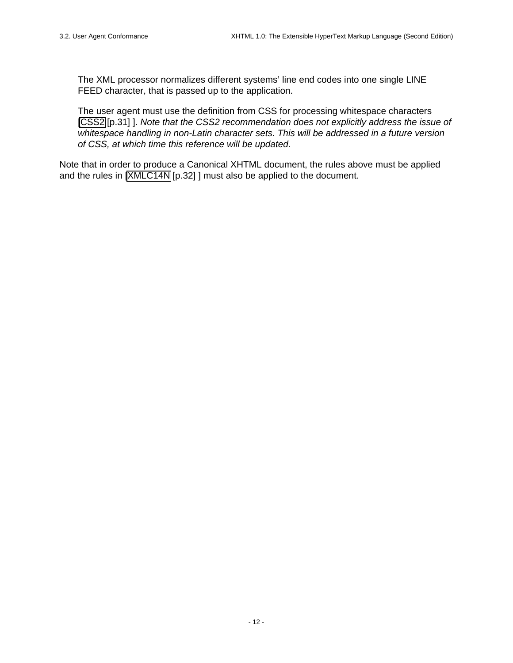The XML processor normalizes different systems' line end codes into one single LINE FEED character, that is passed up to the application.

The user agent must use the definition from CSS for processing whitespace characters [\[CSS2](#page-30-5) [p.31] ]. Note that the CSS2 recommendation does not explicitly address the issue of whitespace handling in non-Latin character sets. This will be addressed in a future version of CSS, at which time this reference will be updated.

Note that in order to produce a Canonical XHTML document, the rules above must be applied and the rules in [\[XMLC14N](#page-31-4) [p.32] ] must also be applied to the document.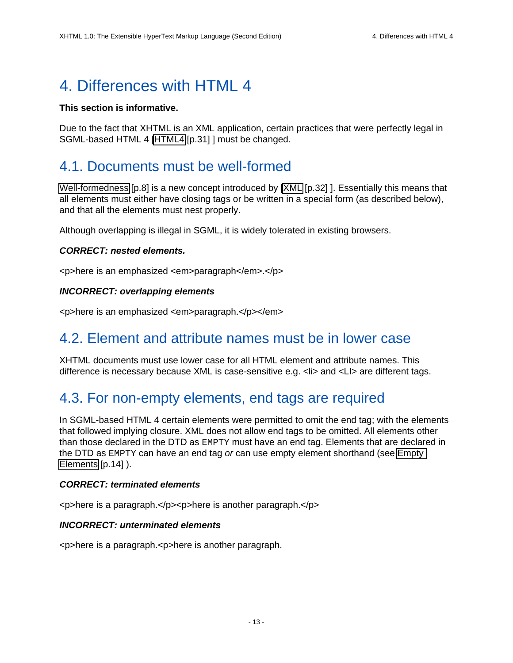# <span id="page-12-0"></span>4. Differences with HTML 4

### **This section is informative.**

Due to the fact that XHTML is an XML application, certain practices that were perfectly legal in SGML-based HTML 4 [\[HTML4](#page-30-1) [p.31] ] must be changed.

### <span id="page-12-1"></span>4.1. Documents must be well-formed

[Well-formedness](#page-7-2) [p.8] is a new concept introduced by [\[XML](#page-31-1) [p.32] ]. Essentially this means that all elements must either have closing tags or be written in a special form (as described below), and that all the elements must nest properly.

Although overlapping is illegal in SGML, it is widely tolerated in existing browsers.

### **CORRECT: nested elements.**

<p>here is an emphasized <em>paragraph</em>.</p>

### **INCORRECT: overlapping elements**

<p>here is an emphasized <em>paragraph.</p></em>

### <span id="page-12-2"></span>4.2. Element and attribute names must be in lower case

XHTML documents must use lower case for all HTML element and attribute names. This difference is necessary because XML is case-sensitive e.g. <li> and <LI> are different tags.

### <span id="page-12-3"></span>4.3. For non-empty elements, end tags are required

In SGML-based HTML 4 certain elements were permitted to omit the end tag; with the elements that followed implying closure. XML does not allow end tags to be omitted. All elements other than those declared in the DTD as EMPTY must have an end tag. Elements that are declared in the DTD as EMPTY can have an end tag or can use empty element shorthand (see [Empty](#page-13-2)  [Elements](#page-13-2) [p.14] ).

#### **CORRECT: terminated elements**

<p>here is a paragraph.</p><p>here is another paragraph.</p>

### **INCORRECT: unterminated elements**

<p>here is a paragraph.<p>here is another paragraph.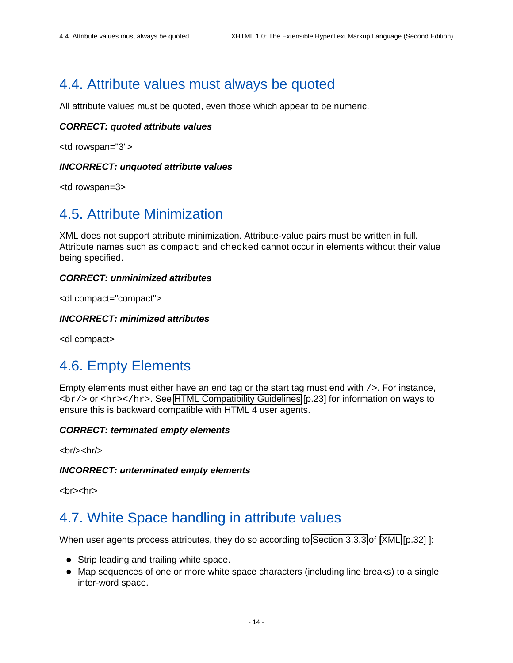### <span id="page-13-0"></span>4.4. Attribute values must always be quoted

All attribute values must be quoted, even those which appear to be numeric.

### **CORRECT: quoted attribute values**

<td rowspan="3">

#### **INCORRECT: unquoted attribute values**

<td rowspan=3>

### <span id="page-13-1"></span>4.5. Attribute Minimization

XML does not support attribute minimization. Attribute-value pairs must be written in full. Attribute names such as compact and checked cannot occur in elements without their value being specified.

#### **CORRECT: unminimized attributes**

<dl compact="compact">

#### **INCORRECT: minimized attributes**

<dl compact>

### <span id="page-13-2"></span>4.6. Empty Elements

Empty elements must either have an end tag or the start tag must end with />. For instance,  $\langle \text{br/} \rangle$  or  $\langle \text{hr} \rangle$  Chessister [HTML Compatibility Guidelines](#page-22-0) [p.23] for information on ways to ensure this is backward compatible with HTML 4 user agents.

#### **CORRECT: terminated empty elements**

<hr/>><hr/>

#### **INCORRECT: unterminated empty elements**

<hr><hr>

### <span id="page-13-3"></span>4.7. White Space handling in attribute values

When user agents process attributes, they do so according to [Section 3.3.3](http://www.w3.org/TR/REC-xml#AVNormalize) of [\[XML](#page-31-1) [p.32] ]:

- Strip leading and trailing white space.
- Map sequences of one or more white space characters (including line breaks) to a single inter-word space.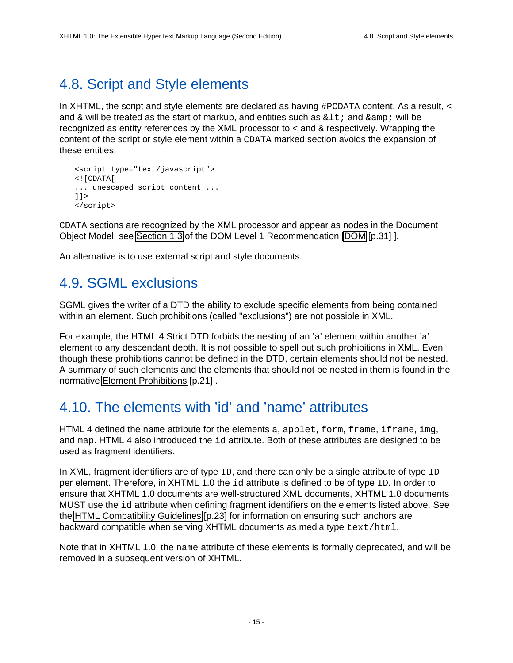## <span id="page-14-0"></span>4.8. Script and Style elements

In XHTML, the script and style elements are declared as having #PCDATA content. As a result, < and  $\&$  will be treated as the start of markup, and entities such as  $\&1 \text{ t}$ ; and  $\& \text{amp}$ ; will be recognized as entity references by the XML processor to  $\lt$  and  $\&$  respectively. Wrapping the content of the script or style element within a CDATA marked section avoids the expansion of these entities.

```
<script type="text/javascript">
<![CDATA[
... unescaped script content ...
]] >
</script>
```
CDATA sections are recognized by the XML processor and appear as nodes in the Document Object Model, see [Section 1.3](http://www.w3.org/TR/REC-DOM-Level-1/level-one-core.html#ID-E067D597) of the DOM Level 1 Recommendation [\[DOM](#page-30-2) [p.31] ].

An alternative is to use external script and style documents.

## <span id="page-14-1"></span>4.9. SGML exclusions

SGML gives the writer of a DTD the ability to exclude specific elements from being contained within an element. Such prohibitions (called "exclusions") are not possible in XML.

For example, the HTML 4 Strict DTD forbids the nesting of an 'a' element within another 'a' element to any descendant depth. It is not possible to spell out such prohibitions in XML. Even though these prohibitions cannot be defined in the DTD, certain elements should not be nested. A summary of such elements and the elements that should not be nested in them is found in the normative [Element Prohibitions](#page-20-0) [p.21] .

## <span id="page-14-2"></span>4.10. The elements with 'id' and 'name' attributes

HTML 4 defined the name attribute for the elements a, applet, form, frame, iframe, img, and map. HTML 4 also introduced the id attribute. Both of these attributes are designed to be used as fragment identifiers.

In XML, fragment identifiers are of type  $ID$ , and there can only be a single attribute of type  $ID$ per element. Therefore, in XHTML 1.0 the id attribute is defined to be of type ID. In order to ensure that XHTML 1.0 documents are well-structured XML documents, XHTML 1.0 documents MUST use the id attribute when defining fragment identifiers on the elements listed above. See the [HTML Compatibility Guidelines](#page-22-0) [p.23] for information on ensuring such anchors are backward compatible when serving XHTML documents as media type text/html.

Note that in XHTML 1.0, the name attribute of these elements is formally deprecated, and will be removed in a subsequent version of XHTML.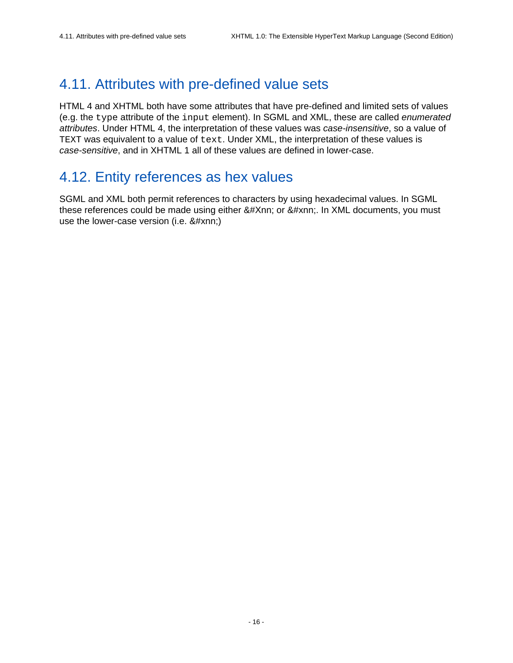## <span id="page-15-0"></span>4.11. Attributes with pre-defined value sets

HTML 4 and XHTML both have some attributes that have pre-defined and limited sets of values (e.g. the type attribute of the input element). In SGML and XML, these are called *enumerated* attributes. Under HTML 4, the interpretation of these values was case-insensitive, so a value of TEXT was equivalent to a value of text. Under XML, the interpretation of these values is case-sensitive, and in XHTML 1 all of these values are defined in lower-case.

## <span id="page-15-1"></span>4.12. Entity references as hex values

SGML and XML both permit references to characters by using hexadecimal values. In SGML these references could be made using either &#Xnn; or &#xnn;. In XML documents, you must use the lower-case version (i.e. &#xnn;)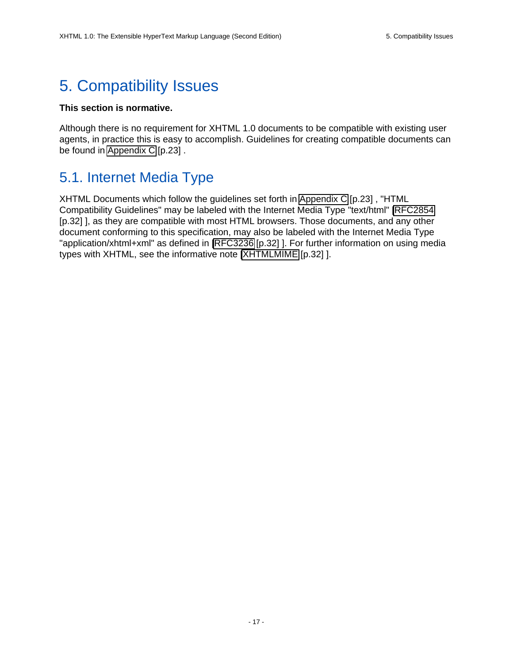# <span id="page-16-0"></span>5. Compatibility Issues

### **This section is normative.**

Although there is no requirement for XHTML 1.0 documents to be compatible with existing user agents, in practice this is easy to accomplish. Guidelines for creating compatible documents can be found in [Appendix C](#page-22-0) [p.23] .

## <span id="page-16-1"></span>5.1. Internet Media Type

XHTML Documents which follow the guidelines set forth in [Appendix C](#page-22-0) [p.23] , "HTML Compatibility Guidelines" may be labeled with the Internet Media Type "text/html" [\[RFC2854](#page-31-5) [p.32] ], as they are compatible with most HTML browsers. Those documents, and any other document conforming to this specification, may also be labeled with the Internet Media Type "application/xhtml+xml" as defined in [\[RFC3236](#page-31-6) [p.32] ]. For further information on using media types with XHTML, see the informative note [\[XHTMLMIME](#page-31-7) [p.32] ].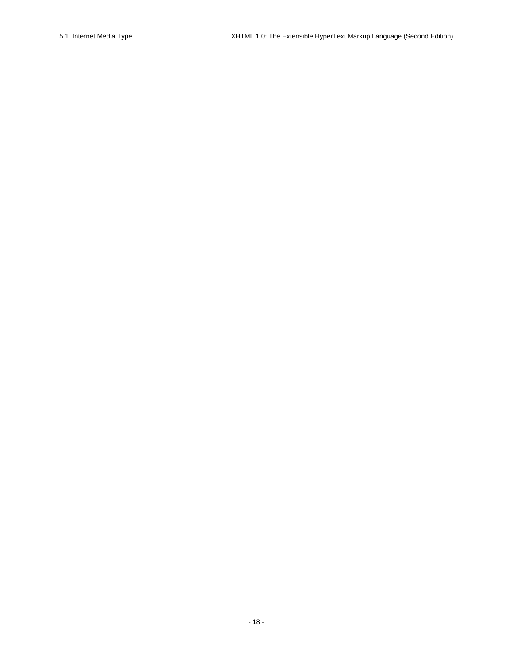- 18 -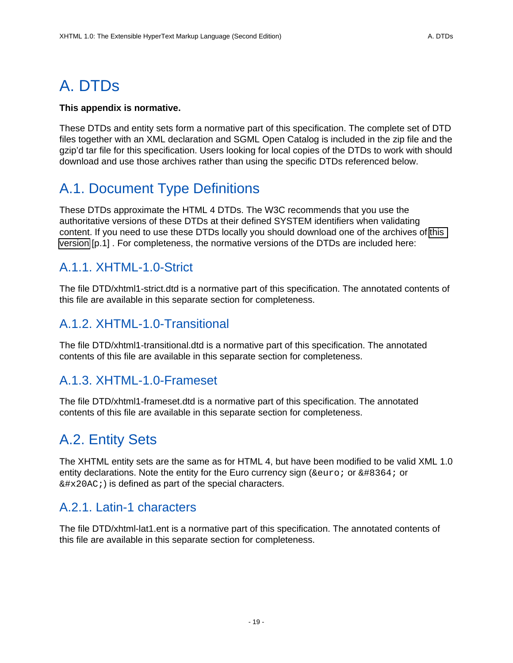# <span id="page-18-0"></span>A. DTDs

### **This appendix is normative.**

These DTDs and entity sets form a normative part of this specification. The complete set of DTD files together with an XML declaration and SGML Open Catalog is included in the zip file and the gzip'd tar file for this specification. Users looking for local copies of the DTDs to work with should download and use those archives rather than using the specific DTDs referenced below.

## <span id="page-18-1"></span>A.1. Document Type Definitions

These DTDs approximate the HTML 4 DTDs. The W3C recommends that you use the authoritative versions of these DTDs at their defined SYSTEM identifiers when validating content. If you need to use these DTDs locally you should download one of the archives of [this](#page-0-0)  [version](#page-0-0) [p.1] . For completeness, the normative versions of the DTDs are included here:

### <span id="page-18-2"></span>A.1.1. XHTML-1.0-Strict

The file DTD/xhtml1-strict.dtd is a normative part of this specification. The annotated contents of this file are available in this separate section for completeness.

### <span id="page-18-3"></span>A.1.2. XHTML-1.0-Transitional

The file DTD/xhtml1-transitional.dtd is a normative part of this specification. The annotated contents of this file are available in this separate section for completeness.

### <span id="page-18-4"></span>A.1.3. XHTML-1.0-Frameset

The file DTD/xhtml1-frameset.dtd is a normative part of this specification. The annotated contents of this file are available in this separate section for completeness.

## <span id="page-18-5"></span>A.2. Entity Sets

The XHTML entity sets are the same as for HTML 4, but have been modified to be valid XML 1.0 entity declarations. Note the entity for the Euro currency sign ( $\&$ euro; or  $\&\#8364$ ; or  $\&\#x20AC$ ;) is defined as part of the special characters.

### <span id="page-18-6"></span>A.2.1. Latin-1 characters

The file DTD/xhtml-lat1.ent is a normative part of this specification. The annotated contents of this file are available in this separate section for completeness.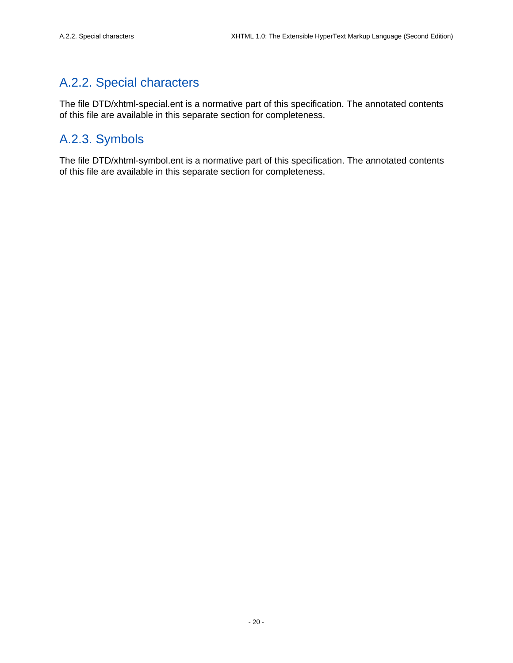### <span id="page-19-0"></span>A.2.2. Special characters

The file DTD/xhtml-special.ent is a normative part of this specification. The annotated contents of this file are available in this separate section for completeness.

### <span id="page-19-1"></span>A.2.3. Symbols

The file DTD/xhtml-symbol.ent is a normative part of this specification. The annotated contents of this file are available in this separate section for completeness.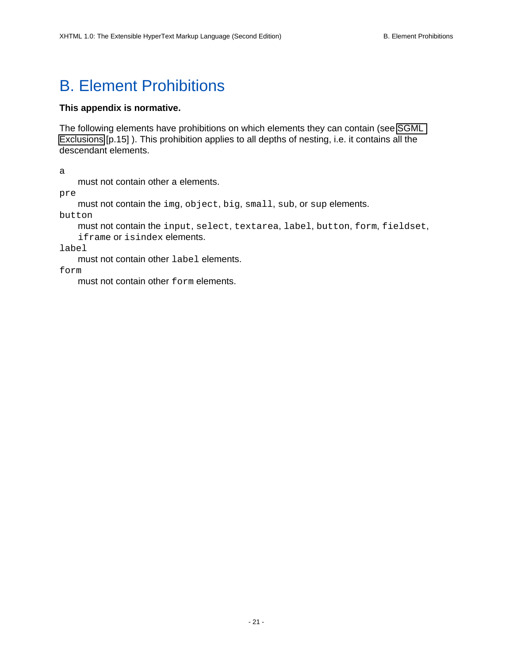# <span id="page-20-0"></span>B. Element Prohibitions

### **This appendix is normative.**

The following elements have prohibitions on which elements they can contain (see [SGML](#page-14-1)  [Exclusions](#page-14-1) [p.15] ). This prohibition applies to all depths of nesting, i.e. it contains all the descendant elements.

a

must not contain other a elements.

pre

must not contain the img, object, big, small, sub, or sup elements.

button

must not contain the input, select, textarea, label, button, form, fieldset, iframe or isindex elements.

label

must not contain other label elements.

form

must not contain other form elements.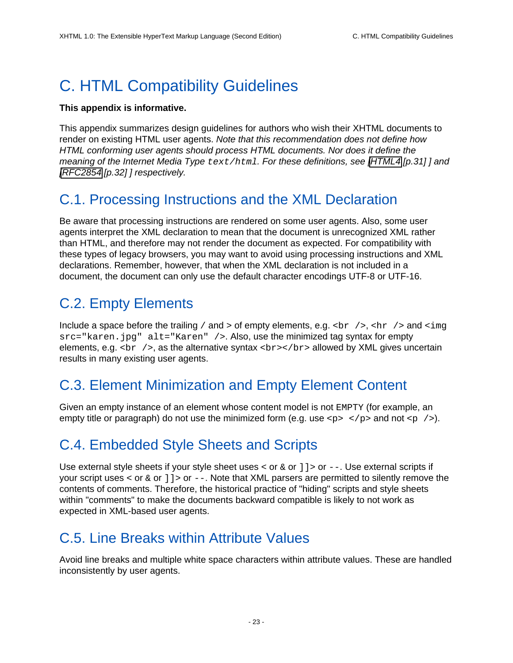# <span id="page-22-0"></span>C. HTML Compatibility Guidelines

### **This appendix is informative.**

This appendix summarizes design guidelines for authors who wish their XHTML documents to render on existing HTML user agents. Note that this recommendation does not define how HTML conforming user agents should process HTML documents. Nor does it define the meaning of the Internet Media Type  $texttext{text}$ . For these definitions, see [\[HTML4](#page-30-1) [p.31] ] and [\[RFC2854](#page-31-5) [p.32] ] respectively.

### <span id="page-22-1"></span>C.1. Processing Instructions and the XML Declaration

Be aware that processing instructions are rendered on some user agents. Also, some user agents interpret the XML declaration to mean that the document is unrecognized XML rather than HTML, and therefore may not render the document as expected. For compatibility with these types of legacy browsers, you may want to avoid using processing instructions and XML declarations. Remember, however, that when the XML declaration is not included in a document, the document can only use the default character encodings UTF-8 or UTF-16.

## <span id="page-22-2"></span>C.2. Empty Elements

Include a space before the trailing / and > of empty elements, e.g.  $\langle$ br />,  $\langle$ hr /> and  $\langle$ img src="karen.jpg" alt="Karen" />. Also, use the minimized tag syntax for empty elements, e.g.  $\langle$ br  $/$ >, as the alternative syntax  $\langle$ br> $\rangle$ br> allowed by XML gives uncertain results in many existing user agents.

## <span id="page-22-3"></span>C.3. Element Minimization and Empty Element Content

Given an empty instance of an element whose content model is not EMPTY (for example, an empty title or paragraph) do not use the minimized form (e.g. use  $\langle p \rangle \langle p \rangle$  and not  $\langle p \rangle$ ).

## <span id="page-22-4"></span>C.4. Embedded Style Sheets and Scripts

Use external style sheets if your style sheet uses  $\lt$  or  $\&$  or  $\rfloor$  > or --. Use external scripts if your script uses  $\lt$  or  $\&$  or  $\rfloor$   $\gt$  or  $\lt$  -  $\lt$ . Note that XML parsers are permitted to silently remove the contents of comments. Therefore, the historical practice of "hiding" scripts and style sheets within "comments" to make the documents backward compatible is likely to not work as expected in XML-based user agents.

## <span id="page-22-5"></span>C.5. Line Breaks within Attribute Values

Avoid line breaks and multiple white space characters within attribute values. These are handled inconsistently by user agents.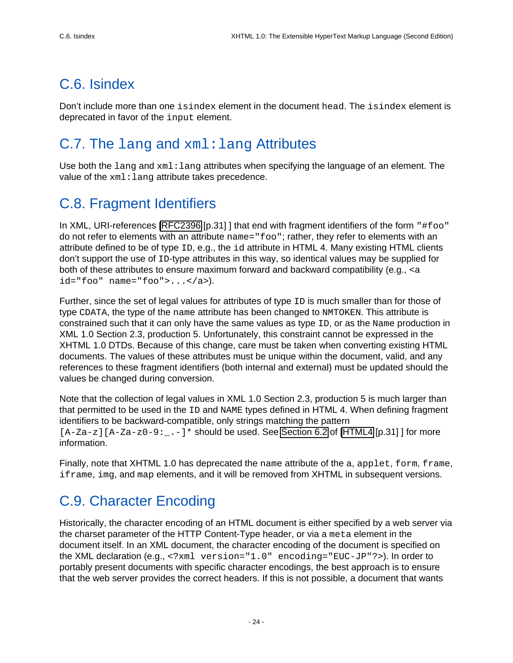## <span id="page-23-0"></span>C.6. Isindex

Don't include more than one isindex element in the document head. The isindex element is deprecated in favor of the input element.

# <span id="page-23-1"></span>C.7. The lang and xml:lang Attributes

Use both the lang and  $xml$ : lang attributes when specifying the language of an element. The value of the  $xml:$  lang attribute takes precedence.

# <span id="page-23-2"></span>C.8. Fragment Identifiers

In XML, URI-references [\[RFC2396](#page-30-6) [p.31] ] that end with fragment identifiers of the form "#foo" do not refer to elements with an attribute  $name="footnotesize{face";}$  rather, they refer to elements with an attribute defined to be of type ID, e.g., the id attribute in HTML 4. Many existing HTML clients don't support the use of ID-type attributes in this way, so identical values may be supplied for both of these attributes to ensure maximum forward and backward compatibility (e.g., <a  $id="footnotesize$  foo" name="foo">...</a>).

Further, since the set of legal values for attributes of type ID is much smaller than for those of type CDATA, the type of the name attribute has been changed to NMTOKEN. This attribute is constrained such that it can only have the same values as type ID, or as the Name production in XML 1.0 Section 2.3, production 5. Unfortunately, this constraint cannot be expressed in the XHTML 1.0 DTDs. Because of this change, care must be taken when converting existing HTML documents. The values of these attributes must be unique within the document, valid, and any references to these fragment identifiers (both internal and external) must be updated should the values be changed during conversion.

Note that the collection of legal values in XML 1.0 Section 2.3, production 5 is much larger than that permitted to be used in the ID and NAME types defined in HTML 4. When defining fragment identifiers to be backward-compatible, only strings matching the pattern  $[A-Za-z][A-Za-z0-9:-]$  should be used. See [Section 6.2](http://www.w3.org/TR/html4/types.html#h-6.2) of [\[HTML4](#page-30-1) [p.31] ] for more information.

Finally, note that XHTML 1.0 has deprecated the name attribute of the a, applet, form, frame, if rame, img, and map elements, and it will be removed from XHTML in subsequent versions.

# <span id="page-23-3"></span>C.9. Character Encoding

Historically, the character encoding of an HTML document is either specified by a web server via the charset parameter of the HTTP Content-Type header, or via a meta element in the document itself. In an XML document, the character encoding of the document is specified on the XML declaration (e.g., <?xml version="1.0" encoding="EUC-JP"?>). In order to portably present documents with specific character encodings, the best approach is to ensure that the web server provides the correct headers. If this is not possible, a document that wants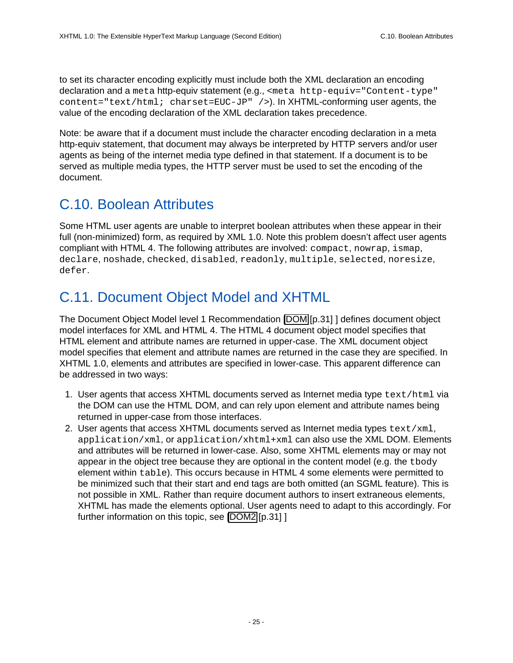to set its character encoding explicitly must include both the XML declaration an encoding declaration and a meta http-equiv statement (e.g., <meta http-equiv="Content-type"  $content = "text /html ;  
\n $charset = EUC-JP" /s$ . In XHTML-conforming user agents, the$ value of the encoding declaration of the XML declaration takes precedence.

Note: be aware that if a document must include the character encoding declaration in a meta http-equiv statement, that document may always be interpreted by HTTP servers and/or user agents as being of the internet media type defined in that statement. If a document is to be served as multiple media types, the HTTP server must be used to set the encoding of the document.

## <span id="page-24-0"></span>C.10. Boolean Attributes

Some HTML user agents are unable to interpret boolean attributes when these appear in their full (non-minimized) form, as required by XML 1.0. Note this problem doesn't affect user agents compliant with HTML 4. The following attributes are involved: compact, nowrap, ismap, declare, noshade, checked, disabled, readonly, multiple, selected, noresize, defer.

# <span id="page-24-1"></span>C.11. Document Object Model and XHTML

The Document Object Model level 1 Recommendation [\[DOM](#page-30-2) [p.31] ] defines document object model interfaces for XML and HTML 4. The HTML 4 document object model specifies that HTML element and attribute names are returned in upper-case. The XML document object model specifies that element and attribute names are returned in the case they are specified. In XHTML 1.0, elements and attributes are specified in lower-case. This apparent difference can be addressed in two ways:

- 1. User agents that access XHTML documents served as Internet media type text/html via the DOM can use the HTML DOM, and can rely upon element and attribute names being returned in upper-case from those interfaces.
- 2. User agents that access XHTML documents served as Internet media types  $text{text}/xml$ , application/xml, or application/xhtml+xml can also use the XML DOM. Elements and attributes will be returned in lower-case. Also, some XHTML elements may or may not appear in the object tree because they are optional in the content model (e.g. the tbody element within table). This occurs because in HTML 4 some elements were permitted to be minimized such that their start and end tags are both omitted (an SGML feature). This is not possible in XML. Rather than require document authors to insert extraneous elements, XHTML has made the elements optional. User agents need to adapt to this accordingly. For further information on this topic, see [\[DOM2](#page-30-7) [p.31] ]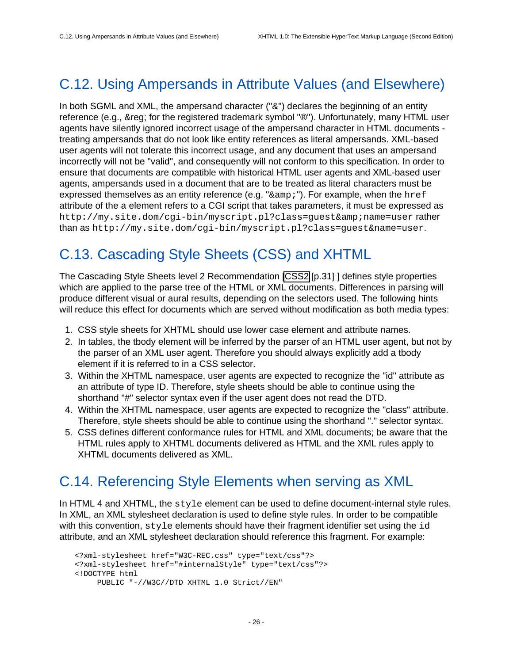## <span id="page-25-0"></span>C.12. Using Ampersands in Attribute Values (and Elsewhere)

In both SGML and XML, the ampersand character ("&") declares the beginning of an entity reference (e.g., & reg; for the registered trademark symbol "®"). Unfortunately, many HTML user agents have silently ignored incorrect usage of the ampersand character in HTML documents treating ampersands that do not look like entity references as literal ampersands. XML-based user agents will not tolerate this incorrect usage, and any document that uses an ampersand incorrectly will not be "valid", and consequently will not conform to this specification. In order to ensure that documents are compatible with historical HTML user agents and XML-based user agents, ampersands used in a document that are to be treated as literal characters must be expressed themselves as an entity reference (e.g. " $\&$ amp;"). For example, when the href attribute of the a element refers to a CGI script that takes parameters, it must be expressed as http://my.site.dom/cgi-bin/myscript.pl?class=guest&name=user rather than as http://my.site.dom/cgi-bin/myscript.pl?class=guest&name=user.

## <span id="page-25-1"></span>C.13. Cascading Style Sheets (CSS) and XHTML

The Cascading Style Sheets level 2 Recommendation [\[CSS2](#page-30-5) [p.31] ] defines style properties which are applied to the parse tree of the HTML or XML documents. Differences in parsing will produce different visual or aural results, depending on the selectors used. The following hints will reduce this effect for documents which are served without modification as both media types:

- 1. CSS style sheets for XHTML should use lower case element and attribute names.
- 2. In tables, the tbody element will be inferred by the parser of an HTML user agent, but not by the parser of an XML user agent. Therefore you should always explicitly add a tbody element if it is referred to in a CSS selector.
- 3. Within the XHTML namespace, user agents are expected to recognize the "id" attribute as an attribute of type ID. Therefore, style sheets should be able to continue using the shorthand "#" selector syntax even if the user agent does not read the DTD.
- 4. Within the XHTML namespace, user agents are expected to recognize the "class" attribute. Therefore, style sheets should be able to continue using the shorthand "." selector syntax.
- 5. CSS defines different conformance rules for HTML and XML documents; be aware that the HTML rules apply to XHTML documents delivered as HTML and the XML rules apply to XHTML documents delivered as XML.

### <span id="page-25-2"></span>C.14. Referencing Style Elements when serving as XML

In HTML 4 and XHTML, the style element can be used to define document-internal style rules. In XML, an XML stylesheet declaration is used to define style rules. In order to be compatible with this convention,  $style$ ,  $style$  elements should have their fragment identifier set using the id attribute, and an XML stylesheet declaration should reference this fragment. For example:

```
<?xml-stylesheet href="W3C-REC.css" type="text/css"?>
<?xml-stylesheet href="#internalStyle" type="text/css"?>
<!DOCTYPE html 
     PUBLIC "-//W3C//DTD XHTML 1.0 Strict//EN"
```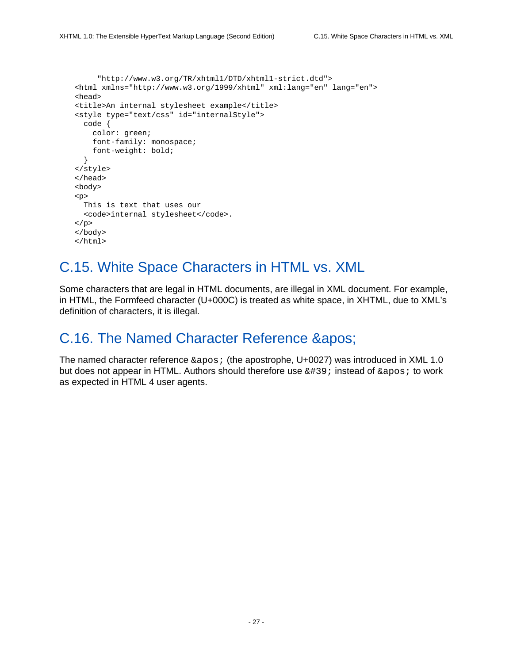```
 "http://www.w3.org/TR/xhtml1/DTD/xhtml1-strict.dtd">
<html xmlns="http://www.w3.org/1999/xhtml" xml:lang="en" lang="en">
<head>
<title>An internal stylesheet example</title>
<style type="text/css" id="internalStyle">
   code {
     color: green;
     font-family: monospace;
     font-weight: bold;
   }
</style>
</head>
<body>
<sub>0</sub></sub>
  This is text that uses our 
  <code>internal stylesheet</code>.
\langle p \rangle</body>
</html>
```
### <span id="page-26-0"></span>C.15. White Space Characters in HTML vs. XML

Some characters that are legal in HTML documents, are illegal in XML document. For example, in HTML, the Formfeed character (U+000C) is treated as white space, in XHTML, due to XML's definition of characters, it is illegal.

### <span id="page-26-1"></span>C.16. The Named Character Reference '

The named character reference  $\≈{apos}$ ; (the apostrophe, U+0027) was introduced in XML 1.0 but does not appear in HTML. Authors should therefore use  $\&\#39$ ; instead of  $\&\text{apos}$ ; to work as expected in HTML 4 user agents.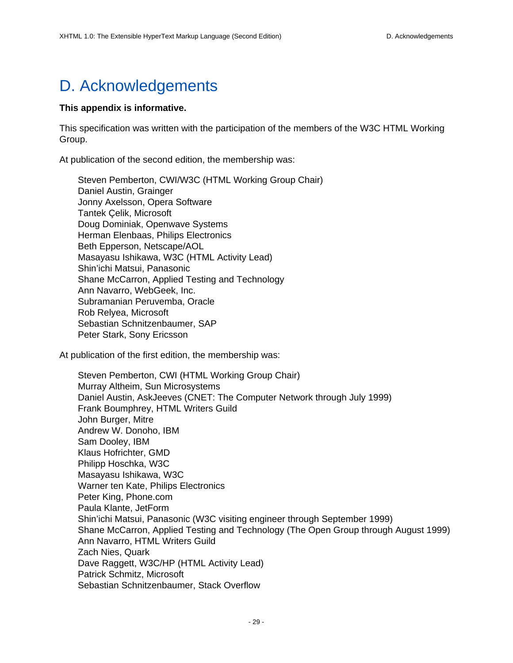# <span id="page-28-0"></span>D. Acknowledgements

#### **This appendix is informative.**

This specification was written with the participation of the members of the W3C HTML Working Group.

At publication of the second edition, the membership was:

Steven Pemberton, CWI/W3C (HTML Working Group Chair) Daniel Austin, Grainger Jonny Axelsson, Opera Software Tantek Çelik, Microsoft Doug Dominiak, Openwave Systems Herman Elenbaas, Philips Electronics Beth Epperson, Netscape/AOL Masayasu Ishikawa, W3C (HTML Activity Lead) Shin'ichi Matsui, Panasonic Shane McCarron, Applied Testing and Technology Ann Navarro, WebGeek, Inc. Subramanian Peruvemba, Oracle Rob Relyea, Microsoft Sebastian Schnitzenbaumer, SAP Peter Stark, Sony Ericsson

At publication of the first edition, the membership was:

Steven Pemberton, CWI (HTML Working Group Chair) Murray Altheim, Sun Microsystems Daniel Austin, AskJeeves (CNET: The Computer Network through July 1999) Frank Boumphrey, HTML Writers Guild John Burger, Mitre Andrew W. Donoho, IBM Sam Dooley, IBM Klaus Hofrichter, GMD Philipp Hoschka, W3C Masayasu Ishikawa, W3C Warner ten Kate, Philips Electronics Peter King, Phone.com Paula Klante, JetForm Shin'ichi Matsui, Panasonic (W3C visiting engineer through September 1999) Shane McCarron, Applied Testing and Technology (The Open Group through August 1999) Ann Navarro, HTML Writers Guild Zach Nies, Quark Dave Raggett, W3C/HP (HTML Activity Lead) Patrick Schmitz, Microsoft Sebastian Schnitzenbaumer, Stack Overflow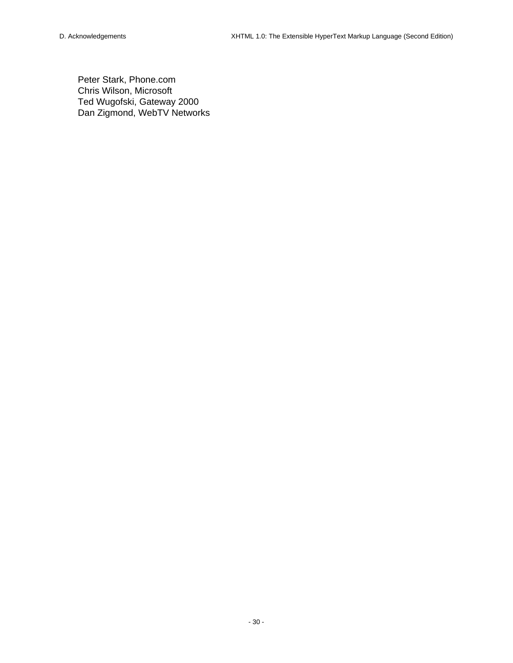Peter Stark, Phone.com Chris Wilson, Microsoft Ted Wugofski, Gateway 2000 Dan Zigmond, WebTV Networks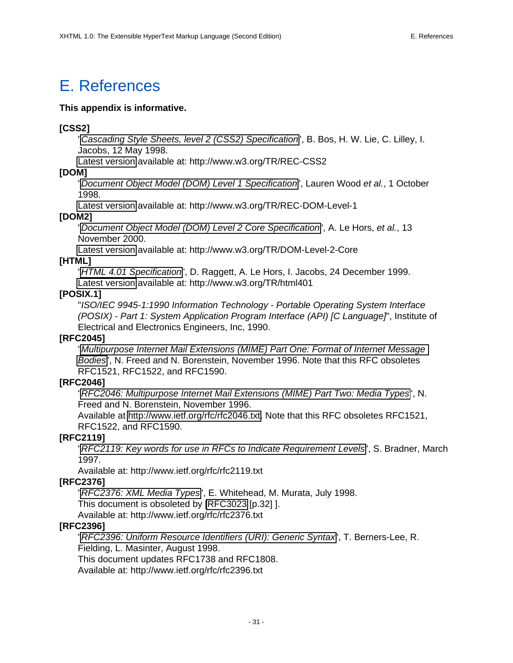# <span id="page-30-0"></span>E. References

#### **This appendix is informative.**

### <span id="page-30-5"></span>**[CSS2]**

"[Cascading Style Sheets, level 2 \(CSS2\) Specification](http://www.w3.org/TR/1998/REC-CSS2-19980512)", B. Bos, H. W. Lie, C. Lilley, I. Jacobs, 12 May 1998.

[Latest version](http://www.w3.org/TR/REC-CSS2) available at: http://www.w3.org/TR/REC-CSS2

### <span id="page-30-2"></span>**[DOM]**

"[Document Object Model \(DOM\) Level 1 Specification](http://www.w3.org/TR/1998/REC-DOM-Level-1-19981001)", Lauren Wood et al., 1 October 1998.

[Latest version](http://www.w3.org/TR/REC-DOM-Level-1) available at: http://www.w3.org/TR/REC-DOM-Level-1

### <span id="page-30-7"></span>**[DOM2]**

"[Document Object Model \(DOM\) Level 2 Core Specification](http://www.w3.org/TR/2000/REC-DOM-Level-2-Core-20001113)", A. Le Hors, et al., 13 November 2000.

[Latest version](http://www.w3.org/TR/DOM-Level-2-Core) available at: http://www.w3.org/TR/DOM-Level-2-Core

### <span id="page-30-1"></span>**[HTML]**

"[HTML 4.01 Specification](http://www.w3.org/TR/1999/REC-html401-19991224)", D. Raggett, A. Le Hors, I. Jacobs, 24 December 1999. [Latest version](http://www.w3.org/TR/html401) available at: http://www.w3.org/TR/html401

### <span id="page-30-4"></span>**[POSIX.1]**

"ISO/IEC 9945-1:1990 Information Technology - Portable Operating System Interface (POSIX) - Part 1: System Application Program Interface (API) [C Language]", Institute of Electrical and Electronics Engineers, Inc, 1990.

### **[RFC2045]**

"[Multipurpose Internet Mail Extensions \(MIME\) Part One: Format of Internet Message](http://www.ietf.org/rfc/rfc2045.txt)  [Bodies](http://www.ietf.org/rfc/rfc2045.txt)", N. Freed and N. Borenstein, November 1996. Note that this RFC obsoletes RFC1521, RFC1522, and RFC1590.

### **[RFC2046]**

"[RFC2046: Multipurpose Internet Mail Extensions \(MIME\) Part Two: Media Types](http://www.ietf.org/rfc/rfc2046.txt)", N. Freed and N. Borenstein, November 1996.

Available at [http://www.ietf.org/rfc/rfc2046.txt.](http://www.ietf.org/rfc/rfc2046.txt) Note that this RFC obsoletes RFC1521, RFC1522, and RFC1590.

### <span id="page-30-3"></span>**[RFC2119]**

"[RFC2119: Key words for use in RFCs to Indicate Requirement Levels](http://www.ietf.org/rfc/rfc2119.txt)", S. Bradner, March 1997.

Available at: http://www.ietf.org/rfc/rfc2119.txt

### <span id="page-30-8"></span>**[RFC2376]**

"[RFC2376: XML Media Types](http://www.ietf.org/rfc/rfc2376.txt)", E. Whitehead, M. Murata, July 1998.

This document is obsoleted by [\[RFC3023](#page-31-8) [p.32] ].

Available at: http://www.ietf.org/rfc/rfc2376.txt

### <span id="page-30-6"></span>**[RFC2396]**

"[RFC2396: Uniform Resource Identifiers \(URI\): Generic Syntax](http://www.ietf.org/rfc/rfc2396.txt)", T. Berners-Lee, R. Fielding, L. Masinter, August 1998.

This document updates RFC1738 and RFC1808.

Available at: http://www.ietf.org/rfc/rfc2396.txt